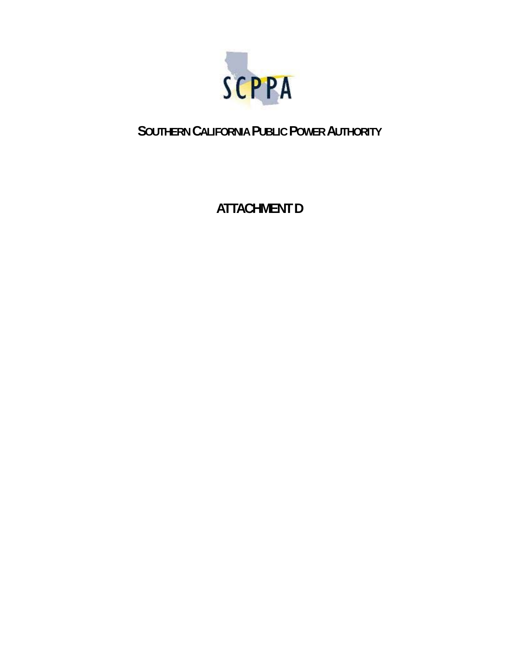

## **SOUTHERN CALIFORNIA PUBLIC POWER AUTHORITY**

# **ATTACHMENT D**